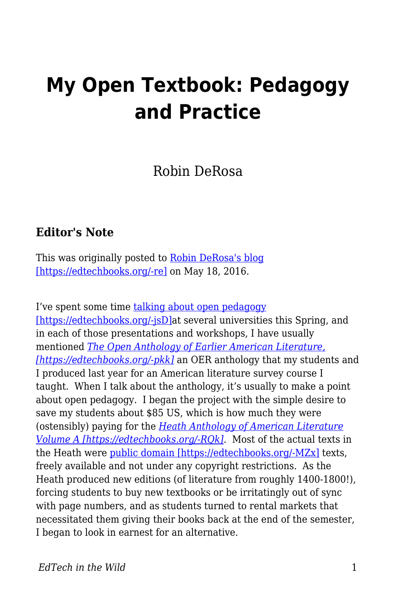# **My Open Textbook: Pedagogy and Practice**

Robin DeRosa

### **Editor's Note**

This was originally posted to [Robin DeRosa's blog](https://robinderosa.net/uncategorized/my-open-textbook-pedagogy-and-practice/) [\[https://edtechbooks.org/-re\]](https://robinderosa.net/uncategorized/my-open-textbook-pedagogy-and-practice/) on May 18, 2016.

I've spent some time [talking about open pedagogy](http://www.slideshare.net/orbitdog1/pedagogy-in-public-open-education-unbound) [\[https://edtechbooks.org/-jsD\]](http://www.slideshare.net/orbitdog1/pedagogy-in-public-open-education-unbound)at several universities this Spring, and in each of those presentations and workshops, I have usually mentioned *[The Open Anthology of Earlier American Literature,](http://openamlit.pressbooks.com/) [\[https://edtechbooks.org/-pkk\]](http://openamlit.pressbooks.com/)* an OER anthology that my students and I produced last year for an American literature survey course I taught. When I talk about the anthology, it's usually to make a point about open pedagogy. I began the project with the simple desire to save my students about \$85 US, which is how much they were (ostensibly) paying for the *[Heath Anthology of American Literature](http://www.amazon.com/Heath-Anthology-American-Literature/dp/1133310222) [Volume A \[https://edtechbooks.org/-RQk\].](http://www.amazon.com/Heath-Anthology-American-Literature/dp/1133310222)* Most of the actual texts in the Heath were [public domain \[https://edtechbooks.org/-MZx\]](http://fairuse.stanford.edu/overview/public-domain/welcome/) texts, freely available and not under any copyright restrictions. As the Heath produced new editions (of literature from roughly 1400-1800!), forcing students to buy new textbooks or be irritatingly out of sync with page numbers, and as students turned to rental markets that necessitated them giving their books back at the end of the semester, I began to look in earnest for an alternative.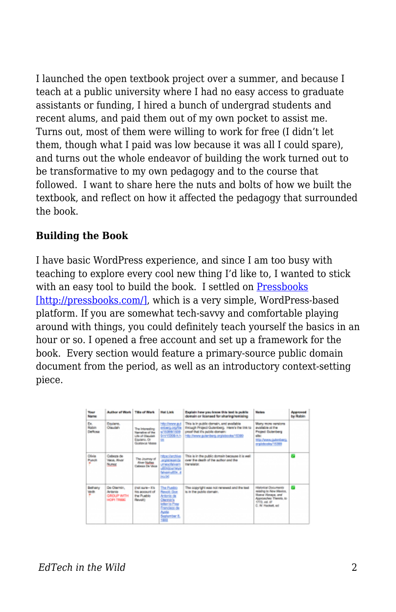I launched the open textbook project over a summer, and because I teach at a public university where I had no easy access to graduate assistants or funding, I hired a bunch of undergrad students and recent alums, and paid them out of my own pocket to assist me. Turns out, most of them were willing to work for free (I didn't let them, though what I paid was low because it was all I could spare), and turns out the whole endeavor of building the work turned out to be transformative to my own pedagogy and to the course that followed. I want to share here the nuts and bolts of how we built the textbook, and reflect on how it affected the pedagogy that surrounded the book.

#### **Building the Book**

I have basic WordPress experience, and since I am too busy with teaching to explore every cool new thing I'd like to, I wanted to stick with an easy tool to build the book. I settled on [Pressbooks](http://pressbooks.com/) [\[http://pressbooks.com/\]](http://pressbooks.com/), which is a very simple, WordPress-based platform. If you are somewhat tech-savvy and comfortable playing around with things, you could definitely teach yourself the basics in an hour or so. I opened a free account and set up a framework for the book. Every section would feature a primary-source public domain document from the period, as well as an introductory context-setting piece.

| <b>Tour</b><br><b>Name</b> | <b>Author of Vinck Title of Work</b>                       |                                                                                        | Mad Link                                                                                                                                  | Explain haw you know this text is public.<br>domain or licensed for sharing/remising                                                                                | <b>Netes</b>                                                                                                                                 | Approved<br>by Robin |
|----------------------------|------------------------------------------------------------|----------------------------------------------------------------------------------------|-------------------------------------------------------------------------------------------------------------------------------------------|---------------------------------------------------------------------------------------------------------------------------------------------------------------------|----------------------------------------------------------------------------------------------------------------------------------------------|----------------------|
| Ex.<br>Robin<br>Defense    | <b>Equiero.</b><br><b>Clauda's</b>                         | The Interesting<br>Nameline of the<br>Life-of Chaudah<br>Equiano, Or<br>Gustavus Vassa | http://www.put<br>enberg.org/file<br>6/15099/1538<br>9-y15398-h.h.<br><b>THE</b>                                                          | This is in public domain, and available<br>through Project Gutenberg, Here's the link to<br>proof that it's public domain:<br>http://www.gutenberg.org/ebooks/15399 | Many more rensions<br>available at the<br><b>Project Guleritery</b><br>site:<br>Misc/www.gutesberg.<br>ergisbooks/15390                      |                      |
| Olivia<br>han              | Cabeza de<br>Vaca, Alvar<br>Numer                          | The Journey of<br><b>Alver Hurley</b><br><b>Cabesa De Mela</b>                         | https://archive<br>arged many's<br>mexibium<br>utilizar teys<br>falsamultin d<br><b>MADE</b>                                              | This is in the public domain because it is well<br>over the death of the author and the<br>translator.                                                              |                                                                                                                                              | ø                    |
| <b>Bethany</b><br>언어       | De Otamin,<br>Arthurian<br>GROUP WITH<br><b>HOPI TRIME</b> | Inst sure - It's<br>his account of<br>the Prushin<br><b>Revolt</b> 3                   | The Pueblo<br><b>Rewall Doe</b><br>Antonio de<br>Chemica<br>letter to Fray<br>Francisco-de<br><b><i>Ponta</i></b><br>September 6.<br>1902 | The copyright was not renewed and the text<br>is in the public dismatri-                                                                                            | Historical Documents<br>relating to Alew Mexico,<br><b>Manuel Planaces, and</b><br>Accorded Marcha St.<br>1733, ppf, 8P<br>C. W. Hackett, ad | æ.                   |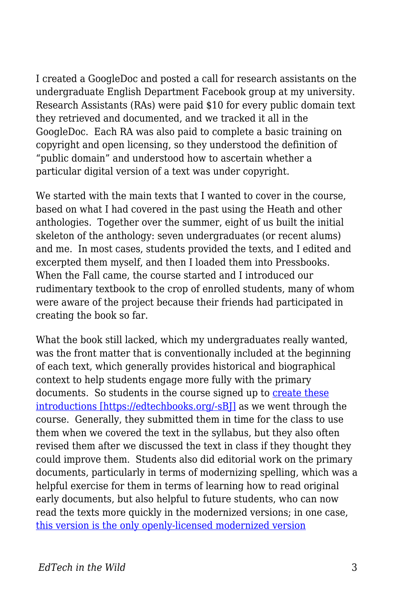I created a GoogleDoc and posted a call for research assistants on the undergraduate English Department Facebook group at my university. Research Assistants (RAs) were paid \$10 for every public domain text they retrieved and documented, and we tracked it all in the GoogleDoc. Each RA was also paid to complete a basic training on copyright and open licensing, so they understood the definition of "public domain" and understood how to ascertain whether a particular digital version of a text was under copyright.

We started with the main texts that I wanted to cover in the course. based on what I had covered in the past using the Heath and other anthologies. Together over the summer, eight of us built the initial skeleton of the anthology: seven undergraduates (or recent alums) and me. In most cases, students provided the texts, and I edited and excerpted them myself, and then I loaded them into Pressbooks. When the Fall came, the course started and I introduced our rudimentary textbook to the crop of enrolled students, many of whom were aware of the project because their friends had participated in creating the book so far.

What the book still lacked, which my undergraduates really wanted, was the front matter that is conventionally included at the beginning of each text, which generally provides historical and biographical context to help students engage more fully with the primary documents. So students in the course signed up to [create these](http://openamlit.pressbooks.com/chapter/introduction/) introductions [https://edtechbooks.org/-sB]] as we went through the course. Generally, they submitted them in time for the class to use them when we covered the text in the syllabus, but they also often revised them after we discussed the text in class if they thought they could improve them. Students also did editorial work on the primary documents, particularly in terms of modernizing spelling, which was a helpful exercise for them in terms of learning how to read original early documents, but also helpful to future students, who can now read the texts more quickly in the modernized versions; in one case, [this version is the only openly-licensed modernized version](http://openamlit.pressbooks.com/chapter/new-english-canaan-excerpt/)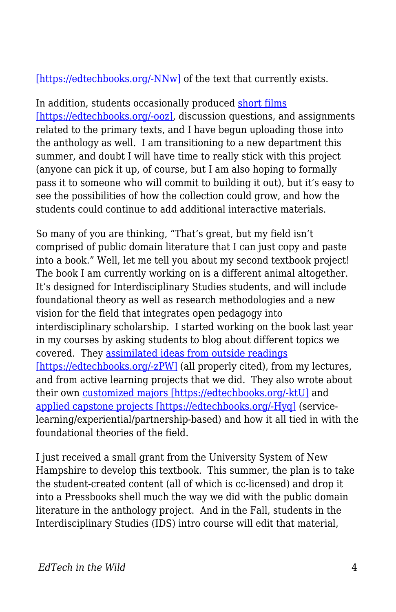## [\[https://edtechbooks.org/-NNw\]](http://openamlit.pressbooks.com/chapter/new-english-canaan-excerpt/) of the text that currently exists.

In addition, students occasionally produced [short films](http://openamlit.pressbooks.com/chapter/introduction-6/) [\[https://edtechbooks.org/-ooz\]](http://openamlit.pressbooks.com/chapter/introduction-6/), discussion questions, and assignments related to the primary texts, and I have begun uploading those into the anthology as well. I am transitioning to a new department this summer, and doubt I will have time to really stick with this project (anyone can pick it up, of course, but I am also hoping to formally pass it to someone who will commit to building it out), but it's easy to see the possibilities of how the collection could grow, and how the students could continue to add additional interactive materials.

So many of you are thinking, "That's great, but my field isn't comprised of public domain literature that I can just copy and paste into a book." Well, let me tell you about my second textbook project! The book I am currently working on is a different animal altogether. It's designed for Interdisciplinary Studies students, and will include foundational theory as well as research methodologies and a new vision for the field that integrates open pedagogy into interdisciplinary scholarship. I started working on the book last year in my courses by asking students to blog about different topics we covered. They [assimilated ideas from outside readings](https://katerburgess.wordpress.com/2016/04/11/a-larger-whole-complex-systems-in-ids/) [\[https://edtechbooks.org/-zPW\]](https://katerburgess.wordpress.com/2016/04/11/a-larger-whole-complex-systems-in-ids/) (all properly cited), from my lectures, and from active learning projects that we did. They also wrote about their own [customized majors \[https://edtechbooks.org/-ktU\]](http://meglosuda.com/uncategorized/interdisciplinary-statement-of-purpose-essay/) and [applied capstone projects \[https://edtechbooks.org/-Hyq\]](https://officialmarinaphillips.wordpress.com/2016/05/03/project-paper-treating-anxiety-with-dance-and-movement/) (servicelearning/experiential/partnership-based) and how it all tied in with the foundational theories of the field.

I just received a small grant from the University System of New Hampshire to develop this textbook. This summer, the plan is to take the student-created content (all of which is cc-licensed) and drop it into a Pressbooks shell much the way we did with the public domain literature in the anthology project. And in the Fall, students in the Interdisciplinary Studies (IDS) intro course will edit that material,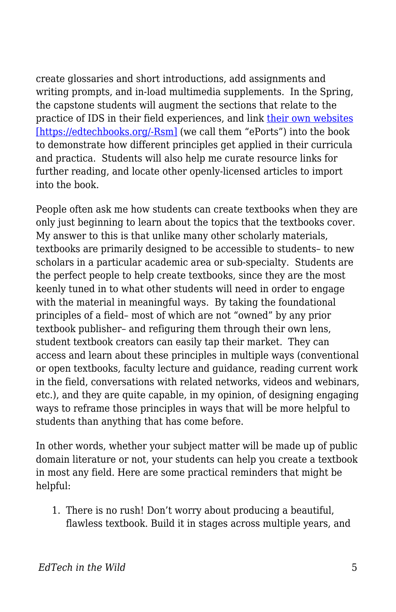create glossaries and short introductions, add assignments and writing prompts, and in-load multimedia supplements. In the Spring, the capstone students will augment the sections that relate to the practice of IDS in their field experiences, and link [their own websites](https://christinemcelreavy.wordpress.com/about/) [\[https://edtechbooks.org/-Rsm\]](https://christinemcelreavy.wordpress.com/about/) (we call them "ePorts") into the book to demonstrate how different principles get applied in their curricula and practica. Students will also help me curate resource links for further reading, and locate other openly-licensed articles to import into the book.

People often ask me how students can create textbooks when they are only just beginning to learn about the topics that the textbooks cover. My answer to this is that unlike many other scholarly materials, textbooks are primarily designed to be accessible to students– to new scholars in a particular academic area or sub-specialty. Students are the perfect people to help create textbooks, since they are the most keenly tuned in to what other students will need in order to engage with the material in meaningful ways. By taking the foundational principles of a field– most of which are not "owned" by any prior textbook publisher– and refiguring them through their own lens, student textbook creators can easily tap their market. They can access and learn about these principles in multiple ways (conventional or open textbooks, faculty lecture and guidance, reading current work in the field, conversations with related networks, videos and webinars, etc.), and they are quite capable, in my opinion, of designing engaging ways to reframe those principles in ways that will be more helpful to students than anything that has come before.

In other words, whether your subject matter will be made up of public domain literature or not, your students can help you create a textbook in most any field. Here are some practical reminders that might be helpful:

1. There is no rush! Don't worry about producing a beautiful, flawless textbook. Build it in stages across multiple years, and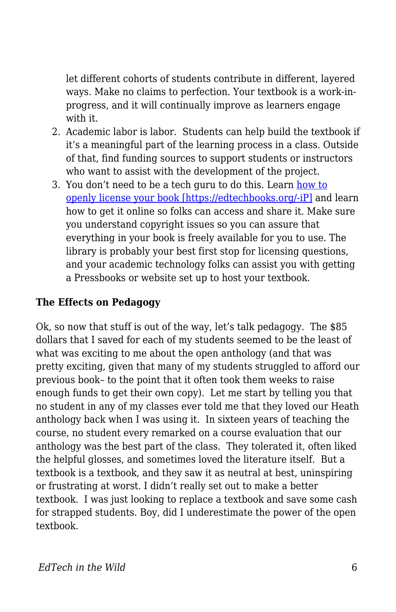let different cohorts of students contribute in different, layered ways. Make no claims to perfection. Your textbook is a work-inprogress, and it will continually improve as learners engage with it.

- 2. Academic labor is labor. Students can help build the textbook if it's a meaningful part of the learning process in a class. Outside of that, find funding sources to support students or instructors who want to assist with the development of the project.
- 3. You don't need to be a tech guru to do this. Learn [how to](https://creativecommons.org/choose/) [openly license your book \[https://edtechbooks.org/-iP\]](https://creativecommons.org/choose/) and learn how to get it online so folks can access and share it. Make sure you understand copyright issues so you can assure that everything in your book is freely available for you to use. The library is probably your best first stop for licensing questions, and your academic technology folks can assist you with getting a Pressbooks or website set up to host your textbook.

## **The Effects on Pedagogy**

Ok, so now that stuff is out of the way, let's talk pedagogy. The \$85 dollars that I saved for each of my students seemed to be the least of what was exciting to me about the open anthology (and that was pretty exciting, given that many of my students struggled to afford our previous book– to the point that it often took them weeks to raise enough funds to get their own copy). Let me start by telling you that no student in any of my classes ever told me that they loved our Heath anthology back when I was using it. In sixteen years of teaching the course, no student every remarked on a course evaluation that our anthology was the best part of the class. They tolerated it, often liked the helpful glosses, and sometimes loved the literature itself. But a textbook is a textbook, and they saw it as neutral at best, uninspiring or frustrating at worst. I didn't really set out to make a better textbook. I was just looking to replace a textbook and save some cash for strapped students. Boy, did I underestimate the power of the open textbook.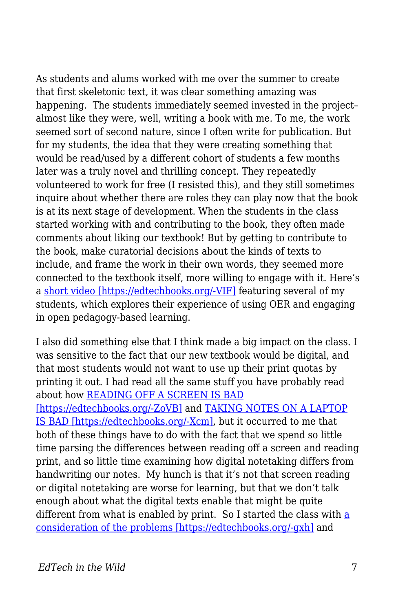As students and alums worked with me over the summer to create that first skeletonic text, it was clear something amazing was happening. The students immediately seemed invested in the project– almost like they were, well, writing a book with me. To me, the work seemed sort of second nature, since I often write for publication. But for my students, the idea that they were creating something that would be read/used by a different cohort of students a few months later was a truly novel and thrilling concept. They repeatedly volunteered to work for free (I resisted this), and they still sometimes inquire about whether there are roles they can play now that the book is at its next stage of development. When the students in the class started working with and contributing to the book, they often made comments about liking our textbook! But by getting to contribute to the book, make curatorial decisions about the kinds of texts to include, and frame the work in their own words, they seemed more connected to the textbook itself, more willing to engage with it. Here's a [short video \[https://edtechbooks.org/-VIF\]](https://www.youtube.com/watch?v=90jgIU6wzmE&feature=youtu.be) featuring several of my students, which explores their experience of using OER and engaging in open pedagogy-based learning.

I also did something else that I think made a big impact on the class. I was sensitive to the fact that our new textbook would be digital, and that most students would not want to use up their print quotas by printing it out. I had read all the same stuff you have probably read about how [READING OFF A SCREEN IS BAD](http://www.medicaldaily.com/e-books-are-damaging-your-health-why-we-should-all-start-reading-paper-books-again-317212) [\[https://edtechbooks.org/-ZoVB\]](http://www.medicaldaily.com/e-books-are-damaging-your-health-why-we-should-all-start-reading-paper-books-again-317212) and [TAKING NOTES ON A LAPTOP](https://www.washingtonpost.com/news/wonk/wp/2016/05/16/why-smart-kids-shouldnt-use-laptops-in-class/) [IS BAD \[https://edtechbooks.org/-Xcm\]](https://www.washingtonpost.com/news/wonk/wp/2016/05/16/why-smart-kids-shouldnt-use-laptops-in-class/), but it occurred to me that both of these things have to do with the fact that we spend so little time parsing the differences between reading off a screen and reading print, and so little time examining how digital notetaking differs from handwriting our notes. My hunch is that it's not that screen reading or digital notetaking are worse for learning, but that we don't talk enough about what the digital texts enable that might be quite different from what is enabled by print. So I started the class with  $a$ [consideration of the problems \[https://edtechbooks.org/-gxh\]](http://www.newyorker.com/science/maria-konnikova/being-a-better-online-reader) and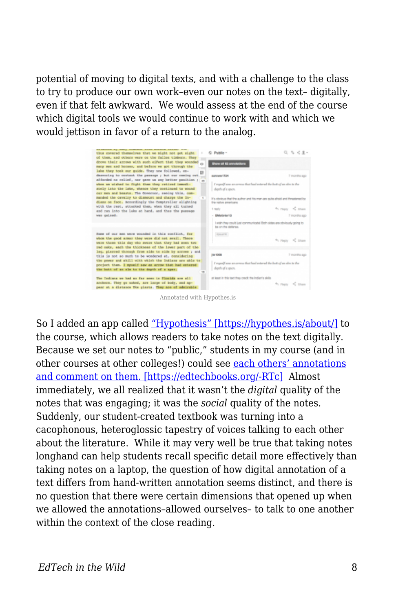potential of moving to digital texts, and with a challenge to the class to try to produce our own work–even our notes on the text– digitally, even if that felt awkward. We would assess at the end of the course which digital tools we would continue to work with and which we would jettison in favor of a return to the analog.

| thus covered thenselves that we night not got sight<br>of them, and others were on the fallon timbers. They                                                                                                               | C Public -                                                                                             | 0, 1, 0, 1                                                            |  |
|---------------------------------------------------------------------------------------------------------------------------------------------------------------------------------------------------------------------------|--------------------------------------------------------------------------------------------------------|-----------------------------------------------------------------------|--|
| drows thair arrows with such cifect that they wounded<br>nany non and horses, and bafers we got through the                                                                                                               | Show all 62 annotations                                                                                |                                                                       |  |
| lake they took our guide. They now followed, on.<br>m<br>deamoning to context the passage ; but our coning out.<br>afforded no relief, nor gave us any better position ;<br>$\overline{\phantom{a}}$                      | <b>AMOWNTTS</b>                                                                                        | ? months ago                                                          |  |
| when we wished to flight them they retired immedi-<br>stely late the late, whence they continued to wound<br>our men and beasts. The Governor, second this, con-                                                          | I regard was an arrow that had antered the butt of an electe the<br>depth of a spen.                   |                                                                       |  |
| sanded the cavairy to dismount and charge the 25-<br>diams on fact, Accordingly the Comptraller alighting<br>with the rest, attacked then, when they all turned                                                           | If a city/outs that the author and his man are suite atraici and threatened by<br>I'm railve americans |                                                                       |  |
| and ran into the lake at hand, and thas the passage<br>was quined.                                                                                                                                                        | 1.90%<br>- SMotivier13                                                                                 | 4x regis = < max<br>7 months ago                                      |  |
|                                                                                                                                                                                                                           | be on the delivres.                                                                                    | I wish they could just communicate (Both sides are obviously going to |  |
| June of our men were wounded in this conflict, for<br>whom the quod armor they ware did not avail. These<br>were those this day who swere that they had soon two<br>red oaks, each the thickness of the lower part of the | <b>Space II</b>                                                                                        | 9. Festy 10 Share                                                     |  |
| leg, pierced through from side to side by arrows ; and<br>this is not so much to be wondered at, considering                                                                                                              | <b>ITM 1006</b>                                                                                        | ? months ago                                                          |  |
| the power and skill with which the Indians are able to<br>project than. I myself saw an arrow that had ontered<br>the butt of an als to the depth of a span.                                                              | I regard was an arrow that had antered the butt of an electe the<br>depth of a spen.                   |                                                                       |  |
| The Indiana we had no far seen in Florida are all<br>archeon. They go ushed, are large of body, and ap-<br>pear at a distance TXe clasts. They are of admirable                                                           | at least in this ract they creck the indian's skills                                                   | The Plancky P.C. Schools                                              |  |

Annotated with Hypothes.is

So I added an app called ["Hypothesis" \[https://hypothes.is/about/\]](https://hypothes.is/about/) to the course, which allows readers to take notes on the text digitally. Because we set our notes to "public," students in my course (and in other courses at other colleges!) could see [each others' annotations](https://via.hypothes.is/http://openamlit.pressbooks.com/chapter/anno-dom-1642/) [and comment on them. \[https://edtechbooks.org/-RTc\]](https://via.hypothes.is/http://openamlit.pressbooks.com/chapter/anno-dom-1642/) Almost immediately, we all realized that it wasn't the *digital* quality of the notes that was engaging; it was the *social* quality of the notes. Suddenly, our student-created textbook was turning into a cacophonous, heteroglossic tapestry of voices talking to each other about the literature. While it may very well be true that taking notes longhand can help students recall specific detail more effectively than taking notes on a laptop, the question of how digital annotation of a text differs from hand-written annotation seems distinct, and there is no question that there were certain dimensions that opened up when we allowed the annotations–allowed ourselves– to talk to one another within the context of the close reading.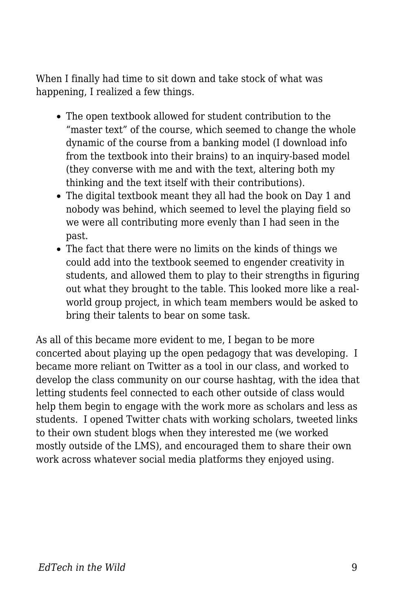When I finally had time to sit down and take stock of what was happening, I realized a few things.

- The open textbook allowed for student contribution to the "master text" of the course, which seemed to change the whole dynamic of the course from a banking model (I download info from the textbook into their brains) to an inquiry-based model (they converse with me and with the text, altering both my thinking and the text itself with their contributions).
- The digital textbook meant they all had the book on Day 1 and nobody was behind, which seemed to level the playing field so we were all contributing more evenly than I had seen in the past.
- The fact that there were no limits on the kinds of things we could add into the textbook seemed to engender creativity in students, and allowed them to play to their strengths in figuring out what they brought to the table. This looked more like a realworld group project, in which team members would be asked to bring their talents to bear on some task.

As all of this became more evident to me, I began to be more concerted about playing up the open pedagogy that was developing. I became more reliant on Twitter as a tool in our class, and worked to develop the class community on our course hashtag, with the idea that letting students feel connected to each other outside of class would help them begin to engage with the work more as scholars and less as students. I opened Twitter chats with working scholars, tweeted links to their own student blogs when they interested me (we worked mostly outside of the LMS), and encouraged them to share their own work across whatever social media platforms they enjoyed using.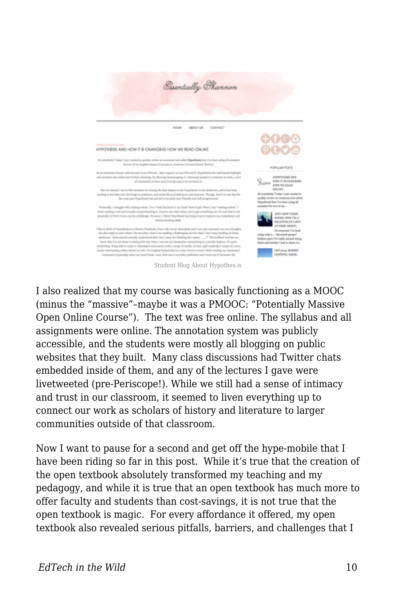

I also realized that my course was basically functioning as a MOOC (minus the "massive"–maybe it was a PMOOC: "Potentially Massive Open Online Course"). The text was free online. The syllabus and all assignments were online. The annotation system was publicly accessible, and the students were mostly all blogging on public websites that they built. Many class discussions had Twitter chats embedded inside of them, and any of the lectures I gave were livetweeted (pre-Periscope!). While we still had a sense of intimacy and trust in our classroom, it seemed to liven everything up to connect our work as scholars of history and literature to larger communities outside of that classroom.

Now I want to pause for a second and get off the hype-mobile that I have been riding so far in this post. While it's true that the creation of the open textbook absolutely transformed my teaching and my pedagogy, and while it is true that an open textbook has much more to offer faculty and students than cost-savings, it is not true that the open textbook is magic. For every affordance it offered, my open textbook also revealed serious pitfalls, barriers, and challenges that I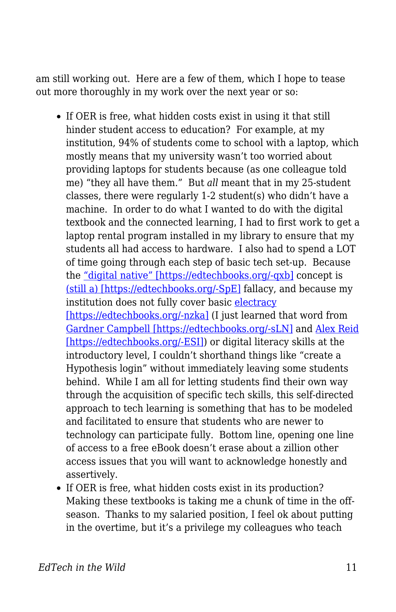am still working out. Here are a few of them, which I hope to tease out more thoroughly in my work over the next year or so:

- If OER is free, what hidden costs exist in using it that still hinder student access to education? For example, at my institution, 94% of students come to school with a laptop, which mostly means that my university wasn't too worried about providing laptops for students because (as one colleague told me) "they all have them." But *all* meant that in my 25-student classes, there were regularly 1-2 student(s) who didn't have a machine. In order to do what I wanted to do with the digital textbook and the connected learning, I had to first work to get a laptop rental program installed in my library to ensure that my students all had access to hardware. I also had to spend a LOT of time going through each step of basic tech set-up. Because the ["digital native" \[https://edtechbooks.org/-qxb\]](http://www.ecdl.org/digitalnativefallacy) concept is [\(still a\) \[https://edtechbooks.org/-SpE\]](http://jolt.merlot.org/vol7no4/koutropoulos_1211.htm) fallacy, and because my institution does not fully cover basic [electracy](https://en.wikipedia.org/wiki/Electracy) [\[https://edtechbooks.org/-nzka\]](https://en.wikipedia.org/wiki/Electracy) (I just learned that word from [Gardner Campbell \[https://edtechbooks.org/-sLN\]](https://twitter.com/GardnerCampbell/status/732906531990147072) and [Alex Reid](http://alex-reid.net/2016/05/laptops-classrooms-and-matters-of-electrate-concern.html) [\[https://edtechbooks.org/-ESI\]\)](http://alex-reid.net/2016/05/laptops-classrooms-and-matters-of-electrate-concern.html) or digital literacy skills at the introductory level, I couldn't shorthand things like "create a Hypothesis login" without immediately leaving some students behind. While I am all for letting students find their own way through the acquisition of specific tech skills, this self-directed approach to tech learning is something that has to be modeled and facilitated to ensure that students who are newer to technology can participate fully. Bottom line, opening one line of access to a free eBook doesn't erase about a zillion other access issues that you will want to acknowledge honestly and assertively.
- If OER is free, what hidden costs exist in its production? Making these textbooks is taking me a chunk of time in the offseason. Thanks to my salaried position, I feel ok about putting in the overtime, but it's a privilege my colleagues who teach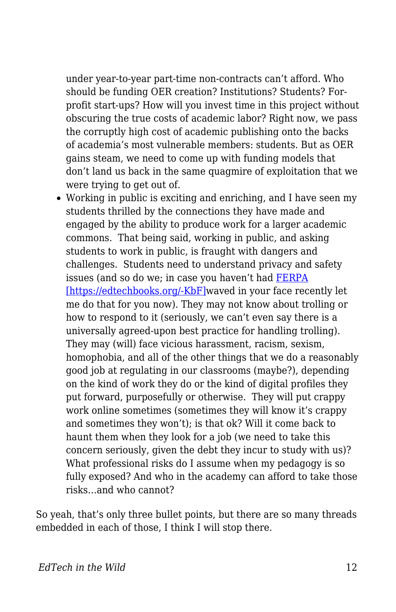under year-to-year part-time non-contracts can't afford. Who should be funding OER creation? Institutions? Students? Forprofit start-ups? How will you invest time in this project without obscuring the true costs of academic labor? Right now, we pass the corruptly high cost of academic publishing onto the backs of academia's most vulnerable members: students. But as OER gains steam, we need to come up with funding models that don't land us back in the same quagmire of exploitation that we were trying to get out of.

Working in public is exciting and enriching, and I have seen my students thrilled by the connections they have made and engaged by the ability to produce work for a larger academic commons. That being said, working in public, and asking students to work in public, is fraught with dangers and challenges. Students need to understand privacy and safety issues (and so do we; in case you haven't had [FERPA](https://twitter.com/actualham/status/726548553317908480) [\[https://edtechbooks.org/-KbF\]](https://twitter.com/actualham/status/726548553317908480)waved in your face recently let me do that for you now). They may not know about trolling or how to respond to it (seriously, we can't even say there is a universally agreed-upon best practice for handling trolling). They may (will) face vicious harassment, racism, sexism, homophobia, and all of the other things that we do a reasonably good job at regulating in our classrooms (maybe?), depending on the kind of work they do or the kind of digital profiles they put forward, purposefully or otherwise. They will put crappy work online sometimes (sometimes they will know it's crappy and sometimes they won't); is that ok? Will it come back to haunt them when they look for a job (we need to take this concern seriously, given the debt they incur to study with us)? What professional risks do I assume when my pedagogy is so fully exposed? And who in the academy can afford to take those risks…and who cannot?

So yeah, that's only three bullet points, but there are so many threads embedded in each of those, I think I will stop there.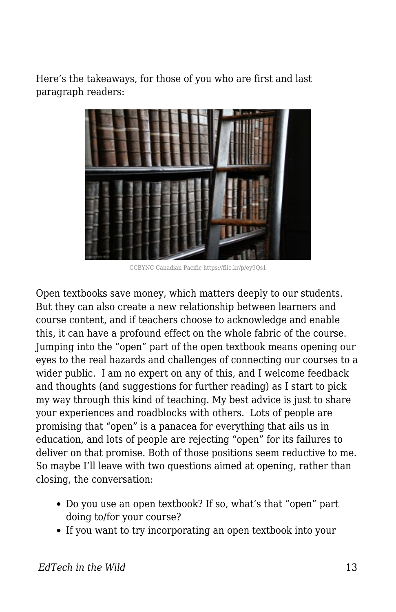Here's the takeaways, for those of you who are first and last paragraph readers:



CCBYNC Canadian Pacific https://flic.kr/p/ey9Qs1

Open textbooks save money, which matters deeply to our students. But they can also create a new relationship between learners and course content, and if teachers choose to acknowledge and enable this, it can have a profound effect on the whole fabric of the course. Jumping into the "open" part of the open textbook means opening our eyes to the real hazards and challenges of connecting our courses to a wider public. I am no expert on any of this, and I welcome feedback and thoughts (and suggestions for further reading) as I start to pick my way through this kind of teaching. My best advice is just to share your experiences and roadblocks with others. Lots of people are promising that "open" is a panacea for everything that ails us in education, and lots of people are rejecting "open" for its failures to deliver on that promise. Both of those positions seem reductive to me. So maybe I'll leave with two questions aimed at opening, rather than closing, the conversation:

- Do you use an open textbook? If so, what's that "open" part doing to/for your course?
- If you want to try incorporating an open textbook into your